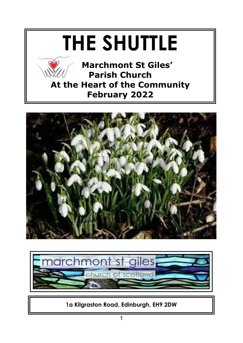## **THE SHUTTLE**



 **Marchmont St Giles' Parish Church At the Heart of the Community February 2022**





**1a Kilgraston Road, Edinburgh, EH9 2DW**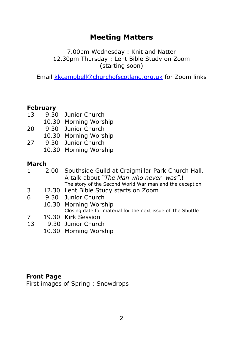#### **Meeting Matters**

7.00pm Wednesday : Knit and Natter 12.30pm Thursday : Lent Bible Study on Zoom (starting soon)

Email [kkcampbell@churchofscotland.org.uk](mailto:kkcampbell@churchofscotland.org.uk) for Zoom links

#### **February**

- 13 9.30 Junior Church 10.30 Morning Worship
- 20 9.30 Junior Church 10.30 Morning Worship
- 27 9.30 Junior Church 10.30 Morning Worship

#### **March**

- 1 2.00 Southside Guild at Craigmillar Park Church Hall. A talk about *"The Man who never was"*.! The story of the Second World War man and the deception
- 3 12.30 Lent Bible Study starts on Zoom
- 6 9.30 Junior Church
	- 10.30 Morning Worship Closing date for material for the next issue of The Shuttle
- 7 19.30 Kirk Session
- 13 9.30 Junior Church
	- 10.30 Morning Worship

#### **Front Page**

First images of Spring : Snowdrops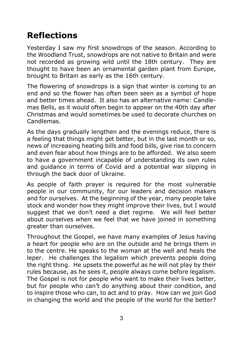#### **Reflections**

Yesterday I saw my first snowdrops of the season. According to the Woodland Trust, snowdrops are not native to Britain and were not recorded as growing wild until the 18th century. They are thought to have been an ornamental garden plant from Europe, brought to Britain as early as the 16th century.

The flowering of snowdrops is a sign that winter is coming to an end and so the flower has often been seen as a symbol of hope and better times ahead. It also has an alternative name: Candlemas Bells, as it would often begin to appear on the 40th day after Christmas and would sometimes be used to decorate churches on Candlemas.

As the days gradually lengthen and the evenings reduce, there is a feeling that things might get better, but in the last month or so, news of increasing heating bills and food bills, give rise to concern and even fear about how things are to be afforded. We also seem to have a government incapable of understanding its own rules and guidance in terms of Covid and a potential war slipping in through the back door of Ukraine.

As people of faith prayer is required for the most vulnerable people in our community, for our leaders and decision makers and for ourselves. At the beginning of the year, many people take stock and wonder how they might improve their lives, but I would suggest that we don't need a diet regime. We will feel better about ourselves when we feel that we have joined in something greater than ourselves.

Throughout the Gospel, we have many examples of Jesus having a heart for people who are on the outside and he brings them in to the centre. He speaks to the woman at the well and heals the leper. He challenges the legalism which prevents people doing the right thing. He upsets the powerful as he will not play by their rules because, as he sees it, people always come before legalism. The Gospel is not for people who want to make their lives better, but for people who can't do anything about their condition, and to inspire those who can, to act and to pray. How can we join God in changing the world and the people of the world for the better?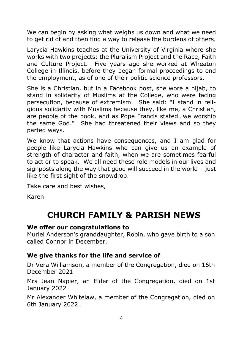We can begin by asking what weighs us down and what we need to get rid of and then find a way to release the burdens of others.

Larycia Hawkins teaches at the University of Virginia where she works with two projects: the Pluralism Project and the Race, Faith and Culture Project. Five years ago she worked at Wheaton College in Illinois, before they began formal proceedings to end the employment, as of one of their politic science professors.

She is a Christian, but in a Facebook post, she wore a hijab, to stand in solidarity of Muslims at the College, who were facing persecution, because of extremism. She said: "I stand in religious solidarity with Muslims because they, like me, a Christian, are people of the book, and as Pope Francis stated…we worship the same God." She had threatened their views and so they parted ways.

We know that actions have consequences, and I am glad for people like Larycia Hawkins who can give us an example of strength of character and faith, when we are sometimes fearful to act or to speak. We all need these role models in our lives and signposts along the way that good will succeed in the world – just like the first sight of the snowdrop.

Take care and best wishes,

Karen

#### **CHURCH FAMILY & PARISH NEWS**

#### **We offer our congratulations to**

Muriel Anderson's granddaughter, Robin, who gave birth to a son called Connor in December.

#### **We give thanks for the life and service of**

Dr Vera Williamson, a member of the Congregation, died on 16th December 2021

Mrs Jean Napier, an Elder of the Congregation, died on 1st January 2022

Mr Alexander Whitelaw, a member of the Congregation, died on 6th January 2022.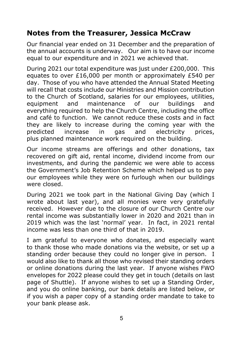#### **Notes from the Treasurer, Jessica McCraw**

Our financial year ended on 31 December and the preparation of the annual accounts is underway. Our aim is to have our income equal to our expenditure and in 2021 we achieved that.

During 2021 our total expenditure was just under £200,000. This equates to over £16,000 per month or approximately £540 per day. Those of you who have attended the Annual Stated Meeting will recall that costs include our Ministries and Mission contribution to the Church of Scotland, salaries for our employees, utilities, equipment and maintenance of our buildings and everything required to help the Church Centre, including the office and café to function. We cannot reduce these costs and in fact they are likely to increase during the coming year with the predicted increase in gas and electricity prices, plus planned maintenance work required on the building.

Our income streams are offerings and other donations, tax recovered on gift aid, rental income, dividend income from our investments, and during the pandemic we were able to access the Government's Job Retention Scheme which helped us to pay our employees while they were on furlough when our buildings were closed.

During 2021 we took part in the National Giving Day (which I wrote about last year), and all monies were very gratefully received. However due to the closure of our Church Centre our rental income was substantially lower in 2020 and 2021 than in 2019 which was the last 'normal' year. In fact, in 2021 rental income was less than one third of that in 2019.

I am grateful to everyone who donates, and especially want to thank those who made donations via the website, or set up a standing order because they could no longer give in person. I would also like to thank all those who revised their standing orders or online donations during the last year. If anyone wishes FWO envelopes for 2022 please could they get in touch (details on last page of Shuttle). If anyone wishes to set up a Standing Order, and you do online banking, our bank details are listed below, or if you wish a paper copy of a standing order mandate to take to your bank please ask.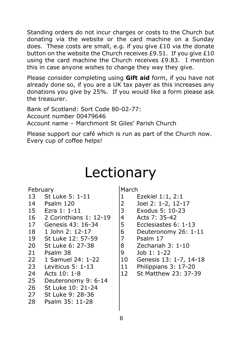Standing orders do not incur charges or costs to the Church but donating via the website or the card machine on a Sunday does. These costs are small, e.g. if you give £10 via the donate button on the website the Church receives £9.51. If you give £10 using the card machine the Church receives £9.83. I mention this in case anyone wishes to change they way they give.

Please consider completing using **Gift aid** form, if you have not already done so, if you are a UK tax payer as this increases any donations you give by 25%. If you would like a form please ask the treasurer.

Bank of Scotland: Sort Code 80-02-77: Account number 00479646 Account name – Marchmont St Giles' Parish Church

Please support our café which is run as part of the Church now. Every cup of coffee helps!

### Lectionary

February

- 13 St Luke 5: 1-11
- 14 Psalm 120
- 15 Ezra 1: 1-11
- 16 2 Corinthians 1: 12-19
- 17 Genesis 43: 16-34
- 18 1 John 2: 12-17
- 19 St Luke 12: 57-59
- 20 St Luke 6: 27-38
- 21 Psalm 38
- 22 1 Samuel 24: 1-22
- 23 Leviticus 5: 1-13
- 24 Acts 10: 1-8
- 25 Deuteronomy 9: 6-14
- 26 St Luke 10: 21-24
- 27 St Luke 9: 28-36
- 28 Psalm 35: 11-28

March

- 1 Ezekiel 1:1, 2:1<br>2 Joel 2: 1-2, 12-3
- 2 Joel 2: 1-2, 12-17<br>3 Exodus 5: 10-23
	- Exodus 5: 10-23
- 4 Acts 7: 35-42
	- 5 Ecclesiastes 6: 1-13
- 6 Deuteronomy 26: 1-11
	- Psalm 17
- 8 Zechariah 3: 1-10
- 9 Job 1: 1-22
- 10 Genesis 13: 1-7, 14-18
- 11 Philippians 3: 17-20
- 12 St Matthew 23: 37-39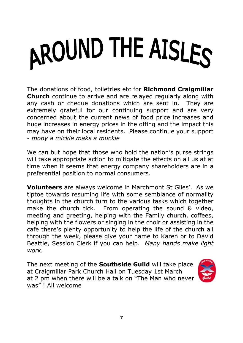# AROUND THE AISLES

The donations of food, toiletries etc for **Richmond Craigmillar Church** continue to arrive and are relayed regularly along with any cash or cheque donations which are sent in. They are extremely grateful for our continuing support and are very concerned about the current news of food price increases and huge increases in energy prices in the offing and the impact this may have on their local residents. Please continue your support - *mony a mickle maks a muckle*

We can but hope that those who hold the nation's purse strings will take appropriate action to mitigate the effects on all us at at time when it seems that energy company shareholders are in a preferential position to normal consumers.

**Volunteers** are always welcome in Marchmont St Giles'. As we tiptoe towards resuming life with some semblance of normality thoughts in the church turn to the various tasks which together make the church tick. From operating the sound & video, meeting and greeting, helping with the Family church, coffees, helping with the flowers or singing in the choir or assisting in the cafe there's plenty opportunity to help the life of the church all through the week, please give your name to Karen or to David Beattie, Session Clerk if you can help. *Many hands make light work.*

The next meeting of the **Southside Guild** will take place at Craigmillar Park Church Hall on Tuesday 1st March at 2 pm when there will be a talk on "The Man who never was" ! All welcome

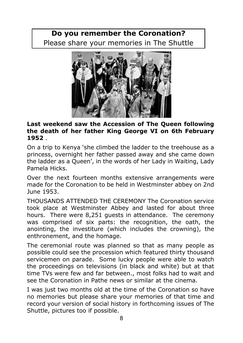#### **Do you remember the Coronation?** Please share your memories in The Shuttle



#### **Last weekend saw the Accession of The Queen following the death of her father King George VI on 6th February 1952** .

On a trip to Kenya 'she climbed the ladder to the treehouse as a princess, overnight her father passed away and she came down the ladder as a Queen', in the words of her Lady in Waiting, Lady Pamela Hicks.

Over the next fourteen months extensive arrangements were made for the Coronation to be held in Westminster abbey on 2nd June 1953.

THOUSANDS ATTENDED THE CEREMONY The Coronation service took place at Westminster Abbey and lasted for about three hours. There were 8,251 guests in attendance. The ceremony was comprised of six parts: the recognition, the oath, the anointing, the investiture (which includes the crowning), the enthronement, and the homage.

The ceremonial route was planned so that as many people as possible could see the procession which featured thirty thousand servicemen on parade. Some lucky people were able to watch the proceedings on televisions (in black and white) but at that time TVs were few and far between., most folks had to wait and see the Coronation in Pathe news or similar at the cinema.

I was just two months old at the time of the Coronation so have no memories but please share your memories of that time and record your version of social history in forthcoming issues of The Shuttle, pictures too if possible.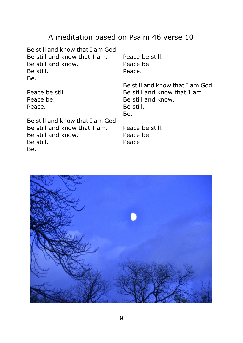#### A meditation based on Psalm 46 verse 10

Be still and know that I am God. Be still and know that I am. Be still and know. Be still. Be.

Peace be still. Peace be. Peace.

Peace be still. Peace be. Peace.

Be still and know that I am God. Be still and know that I am. Be still and know. Be still. Be.

Be still and know that I am God. Be still and know that I am. Be still and know. Be still. Be.

Peace be still. Peace be. Peace

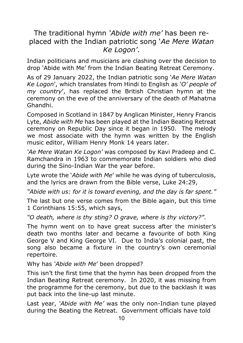#### The traditional hymn *'Abide with me'* has been replaced with the Indian patriotic song '*Ae Mere Watan Ke Logon'*.

Indian politicians and musicians are clashing over the decision to drop 'Abide with Me' from the Indian Beating Retreat Ceremony.

As of 29 January 2022, the Indian patriotic song '*Ae Mere Watan Ke Logon*', which translates from Hindi to English as *'O' people of my country*', has replaced the British Christian hymn at the ceremony on the eve of the anniversary of the death of Mahatma Ghandhi.

Composed in Scotland in 1847 by Anglican Minister, Henry Francis Lyte, *Abide with Me* has been played at the Indian Beating Retreat ceremony on Republic Day since it began in 1950. The melody we most associate with the hymn was written by the English music editor, William Henry Monk 14 years later.

*'Ae Mere Watan Ke Logon'* was composed by Kavi Pradeep and C. Ramchandra in 1963 to commemorate Indian soldiers who died during the Sino-Indian War the year before.

Lyte wrote the '*Abide with Me*' while he was dying of tuberculosis, and the lyrics are drawn from the Bible verse, Luke 24:29,

*"Abide with us: for it is toward evening, and the day is far spent."*

The last but one verse comes from the Bible again, but this time 1 Corinthians 15:55, which says,

*"O death, where is thy sting? O grave, where is thy victory?"*.

The hymn went on to have great success after the minister's death two months later and became a favourite of both King George V and King George VI. Due to India's colonial past, the song also became a fixture in the country's own ceremonial repertoire.

Why has *'Abide with Me*' been dropped?

This isn't the first time that the hymn has been dropped from the Indian Beating Retreat ceremony. In 2020, it was missing from the programme for the ceremony, but due to the backlash it was put back into the line-up last minute.

Last year, *'Abide with Me'* was the only non-Indian tune played during the Beating the Retreat. Government officials have told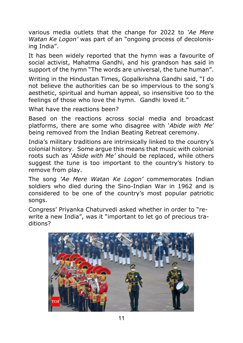various media outlets that the change for 2022 to *'Ae Mere Watan Ke Logon'* was part of an "ongoing process of decolonising India".

It has been widely reported that the hymn was a favourite of social activist, Mahatma Gandhi, and his grandson has said in support of the hymn "The words are universal, the tune human".

Writing in the Hindustan Times, Gopalkrishna Gandhi said, "I do not believe the authorities can be so impervious to the song's aesthetic, spiritual and human appeal, so insensitive too to the feelings of those who love the hymn. Gandhi loved it."

What have the reactions been?

Based on the reactions across social media and broadcast platforms, there are some who disagree with '*Abide with Me*' being removed from the Indian Beating Retreat ceremony.

India's military traditions are intrinsically linked to the country's colonial history. Some argue this means that music with colonial roots such as *'Abide with Me'* should be replaced, while others suggest the tune is too important to the country's history to remove from play.

The song *'Ae Mere Watan Ke Logon'* commemorates Indian soldiers who died during the Sino-Indian War in 1962 and is considered to be one of the country's most popular patriotic songs.

Congress' Priyanka Chaturvedi asked whether in order to "rewrite a new India", was it "important to let go of precious traditions?

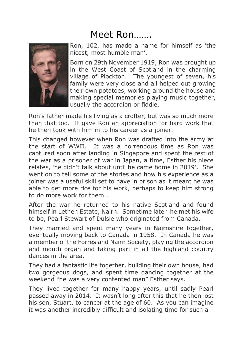#### Meet Ron…….



Ron, 102, has made a name for himself as 'the nicest, most humble man'.

Born on 29th November 1919, Ron was brought up in the West Coast of Scotland in the charming village of Plockton. The youngest of seven, his family were very close and all helped out growing their own potatoes, working around the house and making special memories playing music together, usually the accordion or fiddle.

Ron's father made his living as a crofter, but was so much more than that too. It gave Ron an appreciation for hard work that he then took with him in to his career as a joiner.

This changed however when Ron was drafted into the army at the start of WWII. It was a horrendous time as Ron was captured soon after landing in Singapore and spent the rest of the war as a prisoner of war in Japan, a time, Esther his niece relates, 'he didn't talk about until he came home in 2019'. She went on to tell some of the stories and how his experience as a joiner was a useful skill set to have in prison as it meant he was able to get more rice for his work, perhaps to keep him strong to do more work for them..

After the war he returned to his native Scotland and found himself in Lethen Estate, Nairn. Sometime later he met his wife to be, Pearl Stewart of Dulsie who originated from Canada.

They married and spent many years in Nairnshire together, eventually moving back to Canada in 1958. In Canada he was a member of the Forres and Nairn Society, playing the accordion and mouth organ and taking part in all the highland country dances in the area.

They had a fantastic life together, building their own house, had two gorgeous dogs, and spent time dancing together at the weekend "he was a very contented man" Esther says.

They lived together for many happy years, until sadly Pearl passed away in 2014. It wasn't long after this that he then lost his son, Stuart, to cancer at the age of 60. As you can imagine it was another incredibly difficult and isolating time for such a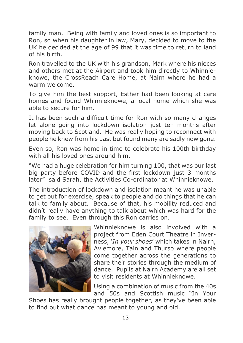family man. Being with family and loved ones is so important to Ron, so when his daughter in law, Mary, decided to move to the UK he decided at the age of 99 that it was time to return to land of his birth.

Ron travelled to the UK with his grandson, Mark where his nieces and others met at the Airport and took him directly to Whinnieknowe, the CrossReach Care Home, at Nairn where he had a warm welcome.

To give him the best support, Esther had been looking at care homes and found Whinnieknowe, a local home which she was able to secure for him.

It has been such a difficult time for Ron with so many changes let alone going into lockdown isolation just ten months after moving back to Scotland. He was really hoping to reconnect with people he knew from his past but found many are sadly now gone.

Even so, Ron was home in time to celebrate his 100th birthday with all his loved ones around him.

"We had a huge celebration for him turning 100, that was our last big party before COVID and the first lockdown just 3 months later" said Sarah, the Activities Co-ordinator at Whinnieknowe.

The introduction of lockdown and isolation meant he was unable to get out for exercise, speak to people and do things that he can talk to family about. Because of that, his mobility reduced and didn't really have anything to talk about which was hard for the family to see. Even through this Ron carries on.



Whinnieknowe is also involved with a project from Eden Court Theatre in Inverness, '*In your shoes*' which takes in Nairn, Aviemore, Tain and Thurso where people come together across the generations to share their stories through the medium of dance. Pupils at Nairn Academy are all set to visit residents at Whinnieknowe.

Using a combination of music from the 40s and 50s and Scottish music "In Your

Shoes has really brought people together, as they've been able to find out what dance has meant to young and old.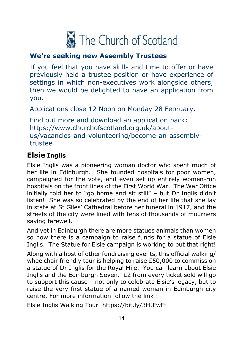

#### **We're seeking new Assembly Trustees**

If you feel that you have skills and time to offer or have previously held a trustee position or have experience of settings in which non-executives work alongside others, then we would be delighted to have an application from you.

Applications close 12 Noon on Monday 28 February.

Find out more and download an application pack: https://www.churchofscotland.org.uk/aboutus/vacancies-and-volunteering/become-an-assemblytrustee

#### **Elsie Inglis**

Elsie Inglis was a pioneering woman doctor who spent much of her life in Edinburgh. She founded hospitals for poor women, campaigned for the vote, and even set up entirely women-run hospitals on the front lines of the First World War. The War Office initially told her to "go home and sit still" – but Dr Inglis didn't listen! She was so celebrated by the end of her life that she lay in state at St Giles' Cathedral before her funeral in 1917, and the streets of the city were lined with tens of thousands of mourners saying farewell.

And yet in Edinburgh there are more statues animals than women so now there is a campaign to raise funds for a statue of Elsie Inglis. The Statue for Elsie campaign is working to put that right!

Along with a host of other fundraising events, this official walking/ wheelchair friendly tour is helping to raise £50,000 to commission a statue of Dr Inglis for the Royal Mile. You can learn about Elsie Inglis and the Edinburgh Seven. £2 from every ticket sold will go to support this cause – not only to celebrate Elsie's legacy, but to raise the very first statue of a named woman in Edinburgh city centre. For more information follow the link :-

Elsie Inglis Walking Tour https://bit.ly/3HJFwFt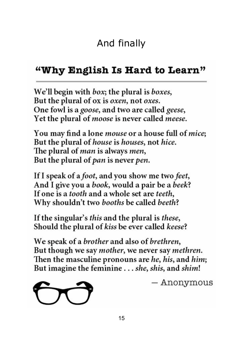#### "Why English Is Hard to Learn"

We'll begin with *box*; the plural is *boxes*, But the plural of ox is oxen, not oxes. One fowl is a goose, and two are called geese, Yet the plural of *moose* is never called *meese*.

You may find a lone *mouse* or a house full of *mice*; But the plural of *house* is *houses*, not *hice*. The plural of *man* is always *men*, But the plural of pan is never pen.

If I speak of a *foot*, and you show me two *feet*, And I give you a book, would a pair be a beek? If one is a *tooth* and a whole set are *teeth*, Why shouldn't two booths be called beeth?

If the singular's *this* and the plural is *these*, Should the plural of kiss be ever called keese?

We speak of a brother and also of brethren, But though we say mother, we never say methren. Then the masculine pronouns are he, his, and him; But imagine the feminine . . . she, shis, and shim!



 $-$  Anonymous